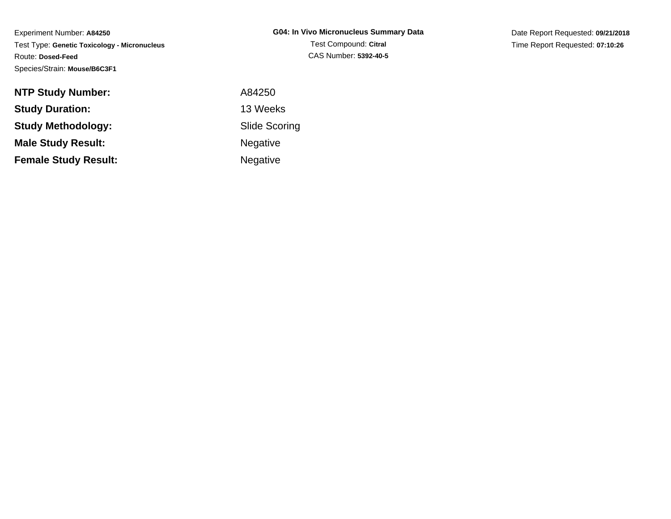Experiment Number: **A84250** Test Type: **Genetic Toxicology - Micronucleus**Route: **Dosed-Feed**Species/Strain: **Mouse/B6C3F1**

Date Report Requested: **09/21/2018**Time Report Requested: **07:10:26**

| <b>NTP Study Number:</b>    | A84250               |
|-----------------------------|----------------------|
| <b>Study Duration:</b>      | 13 Weeks             |
| <b>Study Methodology:</b>   | <b>Slide Scoring</b> |
| <b>Male Study Result:</b>   | <b>Negative</b>      |
| <b>Female Study Result:</b> | <b>Negative</b>      |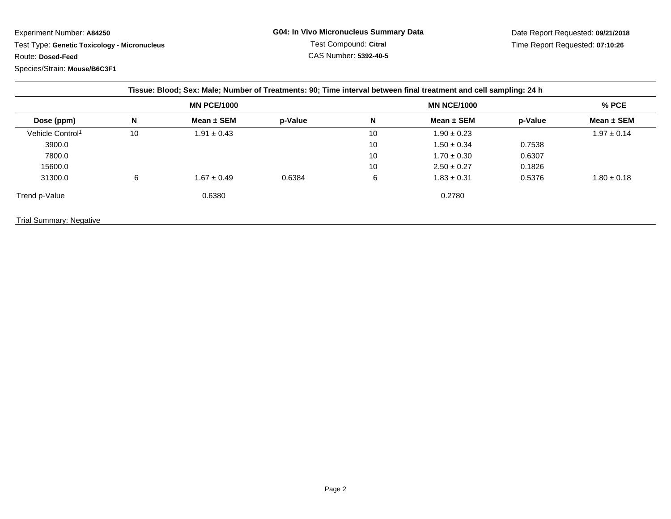Experiment Number: **A84250**Test Type: **Genetic Toxicology - Micronucleus**

Route: **Dosed-Feed**

Species/Strain: **Mouse/B6C3F1**

Date Report Requested: **09/21/2018**Time Report Requested: **07:10:26**

|                                |    |                    |         |    | Tissue: Blood; Sex: Male; Number of Treatments: 90; Time interval between final treatment and cell sampling: 24 h |         |                 |
|--------------------------------|----|--------------------|---------|----|-------------------------------------------------------------------------------------------------------------------|---------|-----------------|
|                                |    | <b>MN PCE/1000</b> |         |    | <b>MN NCE/1000</b>                                                                                                |         | $%$ PCE         |
| Dose (ppm)                     | N  | Mean $\pm$ SEM     | p-Value | N  | Mean $\pm$ SEM                                                                                                    | p-Value | Mean $\pm$ SEM  |
| Vehicle Control <sup>1</sup>   | 10 | $1.91 \pm 0.43$    |         | 10 | $1.90 \pm 0.23$                                                                                                   |         | $1.97 \pm 0.14$ |
| 3900.0                         |    |                    |         | 10 | $1.50 \pm 0.34$                                                                                                   | 0.7538  |                 |
| 7800.0                         |    |                    |         | 10 | $1.70 \pm 0.30$                                                                                                   | 0.6307  |                 |
| 15600.0                        |    |                    |         | 10 | $2.50 \pm 0.27$                                                                                                   | 0.1826  |                 |
| 31300.0                        | 6  | $1.67 \pm 0.49$    | 0.6384  | 6  | $1.83 \pm 0.31$                                                                                                   | 0.5376  | $1.80 \pm 0.18$ |
| Trend p-Value                  |    | 0.6380             |         |    | 0.2780                                                                                                            |         |                 |
| <b>Trial Summary: Negative</b> |    |                    |         |    |                                                                                                                   |         |                 |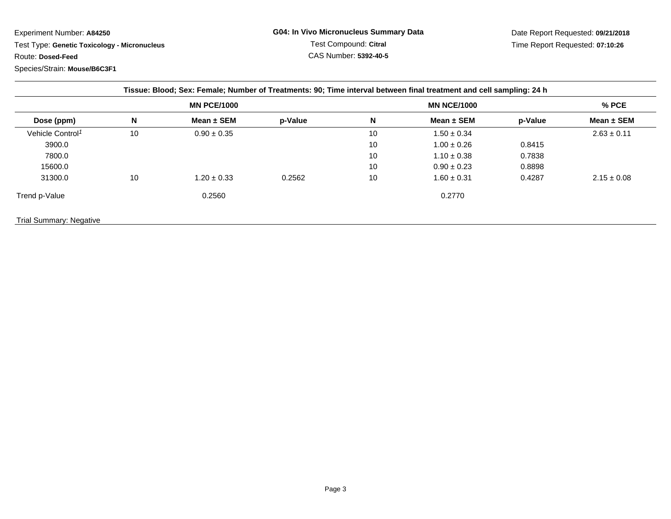Experiment Number: **A84250**

 Test Type: **Genetic Toxicology - Micronucleus**Route: **Dosed-Feed**

Species/Strain: **Mouse/B6C3F1**

| Tissue: Blood; Sex: Female; Number of Treatments: 90; Time interval between final treatment and cell sampling: 24 h |    |                    |         |    |                    |         |                 |  |
|---------------------------------------------------------------------------------------------------------------------|----|--------------------|---------|----|--------------------|---------|-----------------|--|
|                                                                                                                     |    | <b>MN PCE/1000</b> |         |    | <b>MN NCE/1000</b> |         | % PCE           |  |
| Dose (ppm)                                                                                                          | N  | Mean $\pm$ SEM     | p-Value | N  | Mean $\pm$ SEM     | p-Value | Mean $\pm$ SEM  |  |
| Vehicle Control <sup>1</sup>                                                                                        | 10 | $0.90 \pm 0.35$    |         | 10 | $1.50 \pm 0.34$    |         | $2.63 \pm 0.11$ |  |
| 3900.0                                                                                                              |    |                    |         | 10 | $1.00 \pm 0.26$    | 0.8415  |                 |  |
| 7800.0                                                                                                              |    |                    |         | 10 | $1.10 \pm 0.38$    | 0.7838  |                 |  |
| 15600.0                                                                                                             |    |                    |         | 10 | $0.90 \pm 0.23$    | 0.8898  |                 |  |
| 31300.0                                                                                                             | 10 | $1.20 \pm 0.33$    | 0.2562  | 10 | $1.60 \pm 0.31$    | 0.4287  | $2.15 \pm 0.08$ |  |
| Trend p-Value                                                                                                       |    | 0.2560             |         |    | 0.2770             |         |                 |  |
| <b>Trial Summary: Negative</b>                                                                                      |    |                    |         |    |                    |         |                 |  |